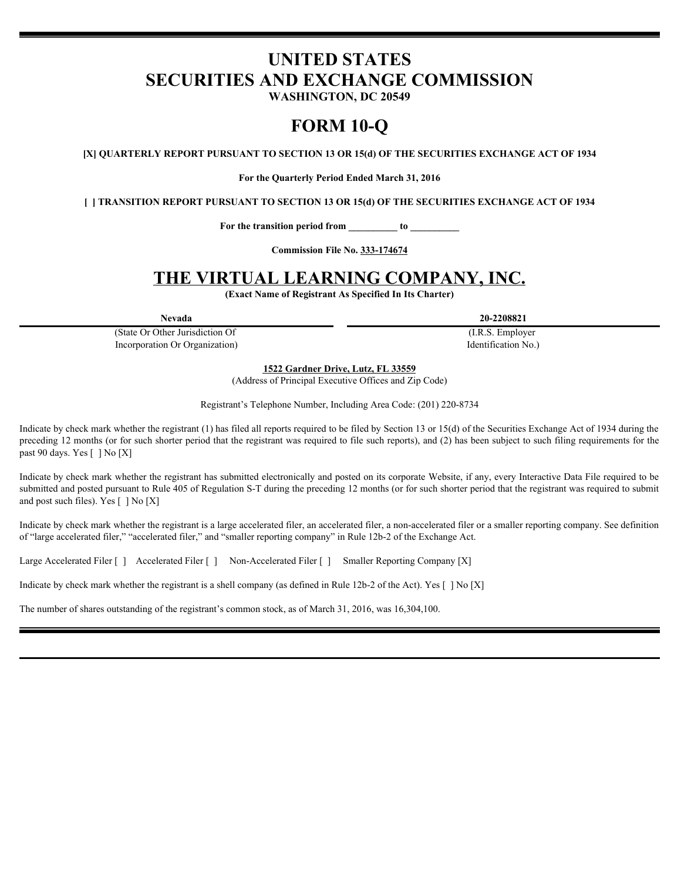# **UNITED STATES SECURITIES AND EXCHANGE COMMISSION**

**WASHINGTON, DC 20549**

# **FORM 10-Q**

**[X] QUARTERLY REPORT PURSUANT TO SECTION 13 OR 15(d) OF THE SECURITIES EXCHANGE ACT OF 1934**

**For the Quarterly Period Ended March 31, 2016**

**[ ] TRANSITION REPORT PURSUANT TO SECTION 13 OR 15(d) OF THE SECURITIES EXCHANGE ACT OF 1934**

**For the transition period from \_\_\_\_\_\_\_\_\_\_ to \_\_\_\_\_\_\_\_\_\_**

**Commission File No. 333-174674**

# **THE VIRTUAL LEARNING COMPANY, INC.**

**(Exact Name of Registrant As Specified In Its Charter)**

(State Or Other Jurisdiction Of Incorporation Or Organization)

**Nevada 20-2208821**

(I.R.S. Employer Identification No.)

**1522 Gardner Drive, Lutz, FL 33559**

(Address of Principal Executive Offices and Zip Code)

Registrant's Telephone Number, Including Area Code: (201) 220-8734

Indicate by check mark whether the registrant (1) has filed all reports required to be filed by Section 13 or 15(d) of the Securities Exchange Act of 1934 during the preceding 12 months (or for such shorter period that the registrant was required to file such reports), and (2) has been subject to such filing requirements for the past 90 days. Yes [ ] No [X]

Indicate by check mark whether the registrant has submitted electronically and posted on its corporate Website, if any, every Interactive Data File required to be submitted and posted pursuant to Rule 405 of Regulation S-T during the preceding 12 months (or for such shorter period that the registrant was required to submit and post such files). Yes [ ] No [X]

Indicate by check mark whether the registrant is a large accelerated filer, an accelerated filer, a non-accelerated filer or a smaller reporting company. See definition of "large accelerated filer," "accelerated filer," and "smaller reporting company" in Rule 12b-2 of the Exchange Act.

Large Accelerated Filer [ ] Accelerated Filer [ ] Non-Accelerated Filer [ ] Smaller Reporting Company [X]

Indicate by check mark whether the registrant is a shell company (as defined in Rule 12b-2 of the Act). Yes  $[ \ ]$  No  $[X]$ 

The number of shares outstanding of the registrant's common stock, as of March 31, 2016, was 16,304,100.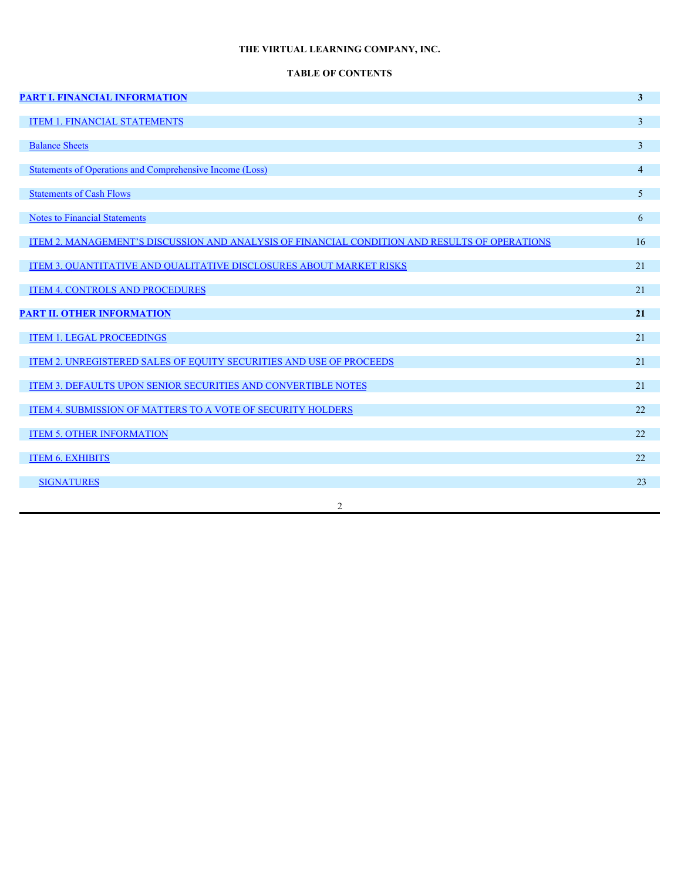# **THE VIRTUAL LEARNING COMPANY, INC.**

# **TABLE OF CONTENTS**

| <b>PART I. FINANCIAL INFORMATION</b>                                                          | 3 <sup>1</sup> |
|-----------------------------------------------------------------------------------------------|----------------|
| <b>ITEM 1. FINANCIAL STATEMENTS</b>                                                           | $\overline{3}$ |
| <b>Balance Sheets</b>                                                                         | 3 <sup>7</sup> |
| <b>Statements of Operations and Comprehensive Income (Loss)</b>                               | 4 <sup>1</sup> |
| <b>Statements of Cash Flows</b>                                                               | 5 <sup>5</sup> |
| <b>Notes to Financial Statements</b>                                                          | 6 <sup>1</sup> |
| ITEM 2. MANAGEMENT'S DISCUSSION AND ANALYSIS OF FINANCIAL CONDITION AND RESULTS OF OPERATIONS | 16             |
| ITEM 3. QUANTITATIVE AND QUALITATIVE DISCLOSURES ABOUT MARKET RISKS                           | 21             |
| <b>ITEM 4. CONTROLS AND PROCEDURES</b>                                                        | 21             |
| <b>PART II. OTHER INFORMATION</b>                                                             | 21             |
| <b>ITEM 1. LEGAL PROCEEDINGS</b>                                                              | 21             |
| ITEM 2. UNREGISTERED SALES OF EQUITY SECURITIES AND USE OF PROCEEDS                           | 21             |
| ITEM 3. DEFAULTS UPON SENIOR SECURITIES AND CONVERTIBLE NOTES                                 | 21             |
| ITEM 4. SUBMISSION OF MATTERS TO A VOTE OF SECURITY HOLDERS                                   | 22             |
| <b>ITEM 5. OTHER INFORMATION</b>                                                              | 22             |
| <b>ITEM 6. EXHIBITS</b>                                                                       | 22             |
| <b>SIGNATURES</b>                                                                             | 23             |
| 2                                                                                             |                |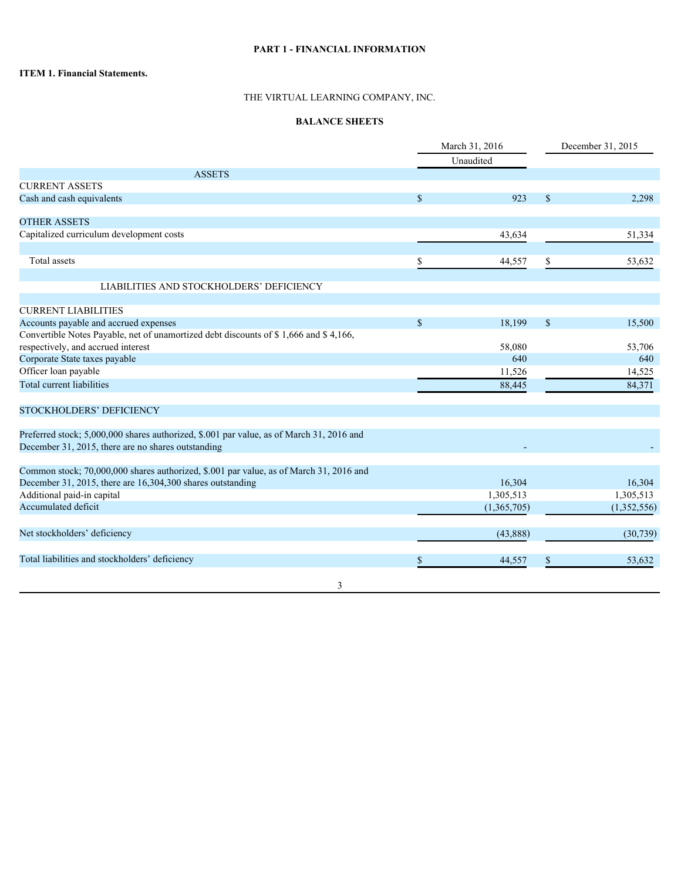# **PART 1 - FINANCIAL INFORMATION**

# <span id="page-2-1"></span><span id="page-2-0"></span>**ITEM 1. Financial Statements.**

# THE VIRTUAL LEARNING COMPANY, INC.

# **BALANCE SHEETS**

<span id="page-2-2"></span>

|                                                                                          | March 31, 2016<br>Unaudited |             | December 31, 2015 |             |  |
|------------------------------------------------------------------------------------------|-----------------------------|-------------|-------------------|-------------|--|
| <b>ASSETS</b>                                                                            |                             |             |                   |             |  |
| <b>CURRENT ASSETS</b>                                                                    |                             |             |                   |             |  |
| Cash and cash equivalents                                                                | $\mathbb{S}$                | 923         | <sup>\$</sup>     | 2,298       |  |
| <b>OTHER ASSETS</b>                                                                      |                             |             |                   |             |  |
| Capitalized curriculum development costs                                                 |                             | 43,634      |                   | 51,334      |  |
| Total assets                                                                             |                             | 44,557      | S                 | 53,632      |  |
|                                                                                          |                             |             |                   |             |  |
| LIABILITIES AND STOCKHOLDERS' DEFICIENCY                                                 |                             |             |                   |             |  |
| <b>CURRENT LIABILITIES</b>                                                               |                             |             |                   |             |  |
| Accounts payable and accrued expenses                                                    | $\mathbb{S}$                | 18,199      | $\mathbb{S}$      | 15,500      |  |
| Convertible Notes Payable, net of unamortized debt discounts of \$1,666 and \$4,166,     |                             |             |                   |             |  |
| respectively, and accrued interest                                                       |                             | 58,080      |                   | 53,706      |  |
| Corporate State taxes payable                                                            |                             | 640         |                   | 640         |  |
| Officer loan payable                                                                     |                             | 11,526      |                   | 14,525      |  |
| Total current liabilities                                                                |                             | 88,445      |                   | 84,371      |  |
| STOCKHOLDERS' DEFICIENCY                                                                 |                             |             |                   |             |  |
| Preferred stock; 5,000,000 shares authorized, \$.001 par value, as of March 31, 2016 and |                             |             |                   |             |  |
| December 31, 2015, there are no shares outstanding                                       |                             |             |                   |             |  |
| Common stock; 70,000,000 shares authorized, \$.001 par value, as of March 31, 2016 and   |                             |             |                   |             |  |
| December 31, 2015, there are 16,304,300 shares outstanding                               |                             | 16,304      |                   | 16,304      |  |
| Additional paid-in capital                                                               |                             | 1,305,513   |                   | 1,305,513   |  |
| Accumulated deficit                                                                      |                             | (1,365,705) |                   | (1,352,556) |  |
| Net stockholders' deficiency                                                             |                             | (43,888)    |                   | (30, 739)   |  |
| Total liabilities and stockholders' deficiency                                           |                             | 44,557      | S                 | 53,632      |  |
|                                                                                          |                             |             |                   |             |  |
| 3                                                                                        |                             |             |                   |             |  |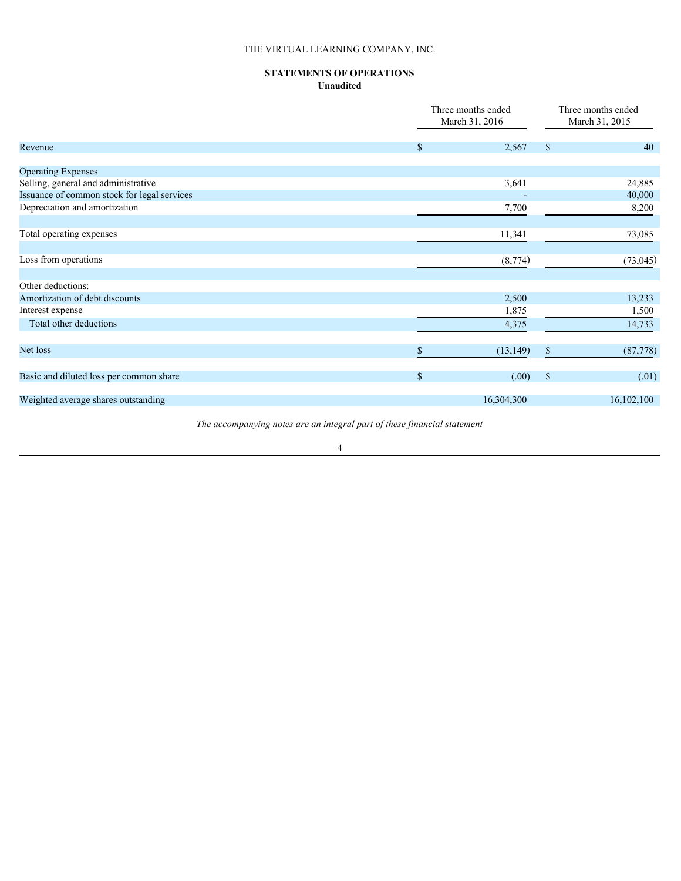# THE VIRTUAL LEARNING COMPANY, INC.

# **STATEMENTS OF OPERATIONS Unaudited**

<span id="page-3-0"></span>

|                                             |              | Three months ended<br>March 31, 2016 | Three months ended<br>March 31, 2015 |           |
|---------------------------------------------|--------------|--------------------------------------|--------------------------------------|-----------|
| Revenue                                     | $\mathbb{S}$ | 2,567                                | $\mathbb{S}$                         | 40        |
| <b>Operating Expenses</b>                   |              |                                      |                                      |           |
| Selling, general and administrative         |              | 3,641                                |                                      | 24,885    |
| Issuance of common stock for legal services |              |                                      |                                      | 40,000    |
| Depreciation and amortization               |              | 7,700                                |                                      | 8,200     |
| Total operating expenses                    |              | 11,341                               |                                      | 73,085    |
| Loss from operations                        |              | (8, 774)                             |                                      | (73, 045) |
| Other deductions:                           |              |                                      |                                      |           |
| Amortization of debt discounts              |              | 2,500                                |                                      | 13,233    |
| Interest expense                            |              | 1,875                                |                                      | 1,500     |
| Total other deductions                      |              | 4,375                                |                                      | 14,733    |
| Net loss                                    |              | (13, 149)                            | <b>S</b>                             | (87, 778) |
| Basic and diluted loss per common share     | $\mathbf{S}$ | (.00)                                | $\mathbf{s}$                         | (.01)     |
| Weighted average shares outstanding         |              | 16,304,300                           | 16,102,100                           |           |
|                                             |              |                                      |                                      |           |

*The accompanying notes are an integral part of these financial statement*

4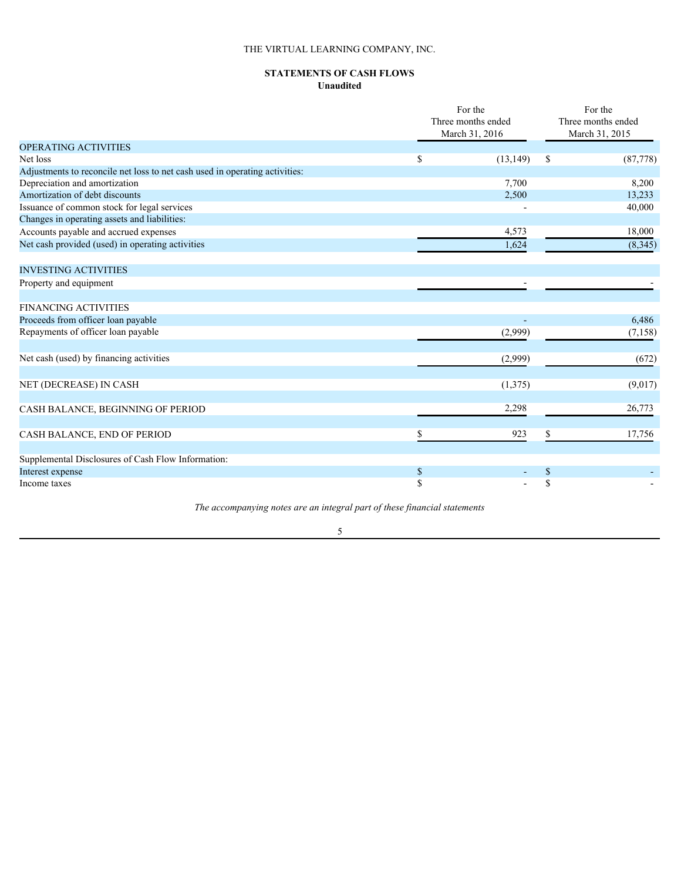# THE VIRTUAL LEARNING COMPANY, INC.

# **STATEMENTS OF CASH FLOWS Unaudited**

<span id="page-4-0"></span>

|                                                                             |    | For the<br>Three months ended<br>March 31, 2016 |               | For the<br>Three months ended<br>March 31, 2015 |
|-----------------------------------------------------------------------------|----|-------------------------------------------------|---------------|-------------------------------------------------|
| <b>OPERATING ACTIVITIES</b>                                                 |    |                                                 |               |                                                 |
| Net loss                                                                    | S  | (13, 149)                                       | <sup>\$</sup> | (87, 778)                                       |
| Adjustments to reconcile net loss to net cash used in operating activities: |    |                                                 |               |                                                 |
| Depreciation and amortization                                               |    | 7,700                                           |               | 8,200                                           |
| Amortization of debt discounts                                              |    | 2,500                                           |               | 13,233                                          |
| Issuance of common stock for legal services                                 |    |                                                 |               | 40,000                                          |
| Changes in operating assets and liabilities:                                |    |                                                 |               |                                                 |
| Accounts payable and accrued expenses                                       |    | 4,573                                           |               | 18,000                                          |
| Net cash provided (used) in operating activities                            |    | 1,624                                           |               | (8, 345)                                        |
| <b>INVESTING ACTIVITIES</b>                                                 |    |                                                 |               |                                                 |
| Property and equipment                                                      |    |                                                 |               |                                                 |
| <b>FINANCING ACTIVITIES</b>                                                 |    |                                                 |               |                                                 |
| Proceeds from officer loan payable                                          |    |                                                 |               | 6,486                                           |
| Repayments of officer loan payable                                          |    | (2,999)                                         |               | (7,158)                                         |
| Net cash (used) by financing activities                                     |    | (2,999)                                         |               | (672)                                           |
| NET (DECREASE) IN CASH                                                      |    | (1,375)                                         |               | (9,017)                                         |
| CASH BALANCE, BEGINNING OF PERIOD                                           |    | 2,298                                           |               | 26,773                                          |
| CASH BALANCE, END OF PERIOD                                                 |    | 923                                             |               | 17,756                                          |
| Supplemental Disclosures of Cash Flow Information:                          |    |                                                 |               |                                                 |
| Interest expense                                                            | \$ |                                                 | S             | $\sim$                                          |
| Income taxes                                                                |    |                                                 | $\mathbf S$   |                                                 |
|                                                                             |    |                                                 |               |                                                 |

*The accompanying notes are an integral part of these financial statements*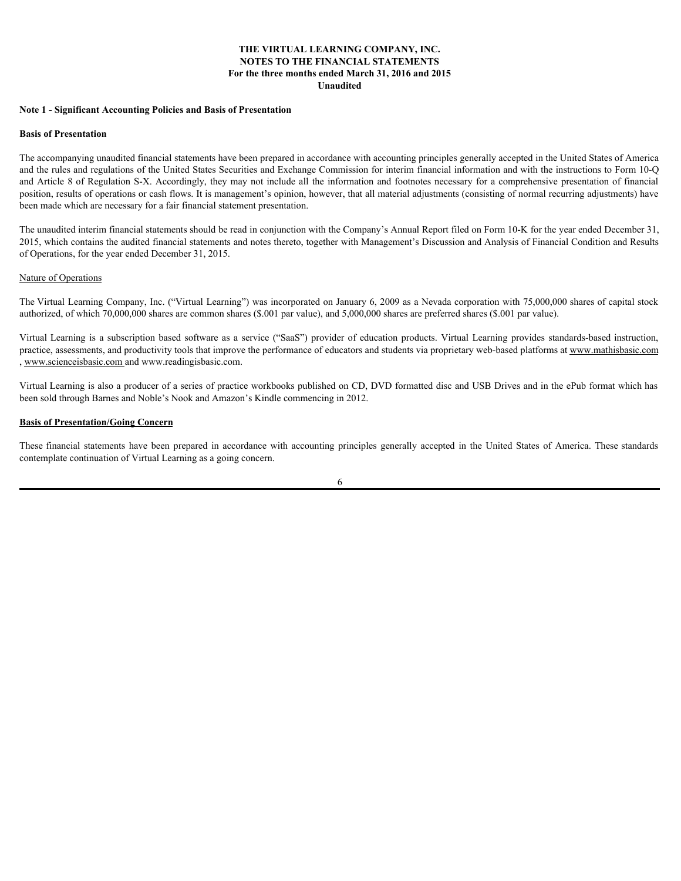### **THE VIRTUAL LEARNING COMPANY, INC. NOTES TO THE FINANCIAL STATEMENTS For the three months ended March 31, 2016 and 2015 Unaudited**

#### <span id="page-5-0"></span>**Note 1 - Significant Accounting Policies and Basis of Presentation**

#### **Basis of Presentation**

The accompanying unaudited financial statements have been prepared in accordance with accounting principles generally accepted in the United States of America and the rules and regulations of the United States Securities and Exchange Commission for interim financial information and with the instructions to Form 10-Q and Article 8 of Regulation S-X. Accordingly, they may not include all the information and footnotes necessary for a comprehensive presentation of financial position, results of operations or cash flows. It is management's opinion, however, that all material adjustments (consisting of normal recurring adjustments) have been made which are necessary for a fair financial statement presentation. VIRE VIRTUAL LEARNING COMPANY, INC.<br>
For the three months ends Marks of Presentation<br>
Unnumlied<br>
Hash of Presentation<br>
Hash of Presentation<br>
Hash of Presentation<br>
Hash of Presentation<br>
Hash of Presentation<br>
Hash of Present The Control Accounting Policies and Basis of Presentation<br>
Basis of Presentation<br>
The accompany products of the United States forecritics and The accordance with accounting principles generally accepted in the chinesed<br>
an

The unaudited interim financial statements should be read in conjunction with the Company's Annual Report filed on Form 10-K for the year ended December 31, 2015, which contains the audited financial statements and notes thereto, together with Management's Discussion and Analysis of Financial Condition and Results of Operations, for the year ended December 31, 2015.

### Nature of Operations

The Virtual Learning Company, Inc. ("Virtual Learning") was incorporated on January 6, 2009 as a Nevada corporation with 75,000,000 shares of capital stock authorized, of which 70,000,000 shares are common shares (\$.001 par value), and 5,000,000 shares are preferred shares (\$.001 par value).

practice, assessments, and productivity tools that improve the performance of educators and students via proprietary web-based platforms at www.mathisbasic.com , www.scienceisbasic.com and www.readingisbasic.com.

Virtual Learning is also a producer of a series of practice workbooks published on CD, DVD formatted disc and USB Drives and in the ePub format which has been sold through Barnes and Noble's Nook and Amazon's Kindle commencing in 2012.

#### **Basis of Presentation/Going Concern**

contemplate continuation of Virtual Learning as a going concern.

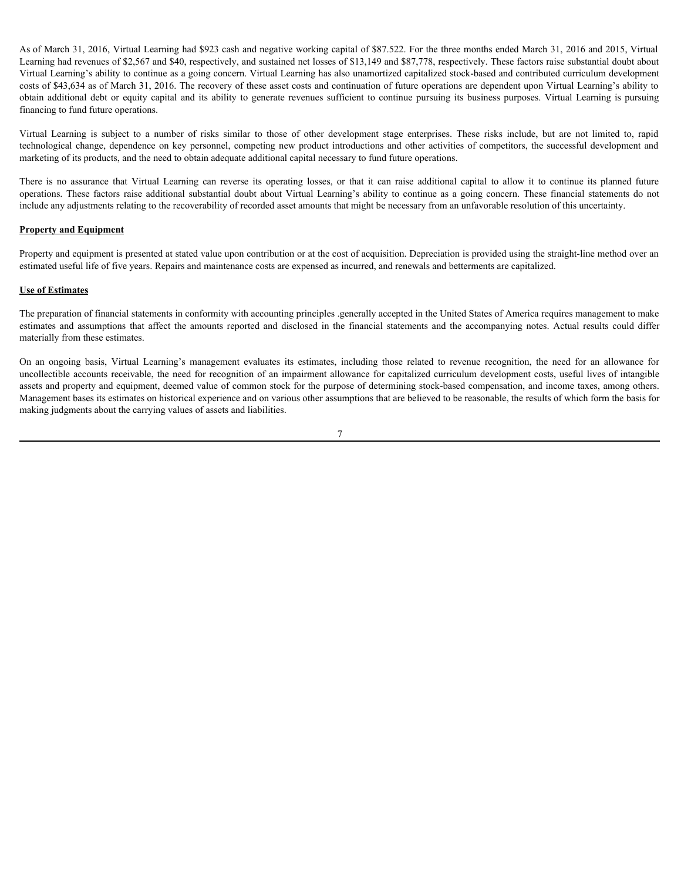As of March 31, 2016, Virtual Learning had \$923 cash and negative working capital of \$87.522. For the three months ended March 31, 2016 and 2015, Virtual Learning had revenues of \$2,567 and \$40, respectively, and sustained net losses of \$13,149 and \$87,778, respectively. These factors raise substantial doubt about Virtual Learning's ability to continue as a going concern. Virtual Learning has also unamortized capitalized stock-based and contributed curriculum development costs of \$43,634 as of March 31, 2016. The recovery of these asset costs and continuation of future operations are dependent upon Virtual Learning's ability to As of March 31, 2016, Virtual Learning had \$923 cash and negative working capital of \$87.522. For the three months ended March 31, 2016 and 2015, Virtual Virtual Learning had revenues of \$2,567 and \$40, respectively, and s financing to fund future operations. As of March 31, 2016, Virtual Learning had \$923 cash and negative working capital of \$87,522. For the three months ended March 31, 2016 and 2015, Virtual Learning had revenues of \$2,567 and \$40, respectively, and sustained As of March 31, 2016, Virtual Learning had \$923 cash and negative working capital of \$87.522. For the three months ended March 31, 2016 and 2015, Virtual<br>Learning had revenues of \$2.567 and \$40, respectively, and sustained As of March 31, 2016, Virtual Learning had \$923 cash and negative working capital of \$87.522. For the three months ended March 31, 2016 and 2015, Virtual Learning had revenues of \$2.567 and 440, respectively, and sustaine As of March 31, 2016, Virtual Learning bad 8923 eash and negative working capital of \$87.522. For the three months ended March 31, 2016 and 2015, Virtual Learning had revenues of \$2.567 and \$40, respectively, and sustained As of Much 31, 2016, Virtual Learning bad \$923 cash and negative working capital of \$57.522. For the first months check and 2015, Virtual Learning had the amount of S2.567 and 346, respectively, and state and controlled a As of March 31, 2016, Virtual I carning had 5923 cash and negative working capital of 587.522. For the three needby The case of Alixed 2015, Virtual Learning's and Holy, respectively, and standard alice and SHOR Continues

marketing of its products, and the need to obtain adequate additional capital necessary to fund future operations.

include any adjustments relating to the recoverability of recorded asset amounts that might be necessary from an unfavorable resolution of this uncertainty.

### **Property and Equipment**

Property and equipment is presented at stated value upon contribution or at the cost of acquisition. Depreciation is provided using the straight-line method over an estimated useful life of five years. Repairs and maintenance costs are expensed as incurred, and renewals and betterments are capitalized.

#### **Use of Estimates**

The preparation of financial statements in conformity with accounting principles .generally accepted in the United States of America requires management to make materially from these estimates.

uncollectible accounts receivable, the need for recognition of an impairment allowance for capitalized curriculum development costs, useful lives of intangible assets and property and equipment, deemed value of common stock for the purpose of determining stock-based compensation, and income taxes, among others. Management bases its estimates on historical experience and on various other assumptions that are believed to be reasonable, the results of which form the basis for making judgments about the carrying values of assets and liabilities.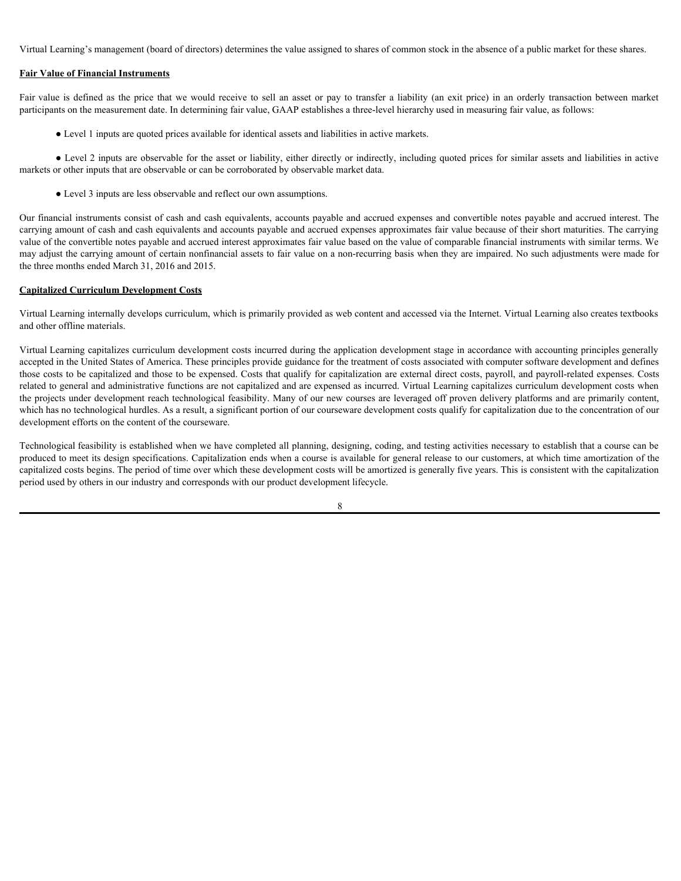Virtual Learning's management (board of directors) determines the value assigned to shares of common stock in the absence of a public market for these shares.

### **Fair Value of Financial Instruments**

participants on the measurement date. In determining fair value, GAAP establishes a three-level hierarchy used in measuring fair value, as follows:

● Level 1 inputs are quoted prices available for identical assets and liabilities in active markets.

Virtual Learning's management (board of directors) determines the value assigned to shares of common stock in the absence of a public market for these shares.<br> **Fair Value of Financial Instruments**<br>
Fair value is defined a ● Level 2 inputs are observable for the asset or liability, either directly or indirectly, including quoted prices for similar assets and liabilities in active markets or other inputs that are observable or can be corroborated by observable market data.

● Level 3 inputs are less observable and reflect our own assumptions.

Our financial instruments consist of cash and cash equivalents, accounts payable and accrued expenses and convertible notes payable and accrued interest. The carrying amount of cash and cash equivalents and accounts payable and accrued expenses approximates fair value because of their short maturities. The carrying value of the convertible notes payable and accrued interest approximates fair value based on the value of comparable financial instruments with similar terms. We may adjust the carrying amount of certain nonfinancial assets to fair value on a non-recurring basis when they are impaired. No such adjustments were made for the three months ended March 31, 2016 and 2015.

#### **Capitalized Curriculum Development Costs**

Virtual Learning internally develops curriculum, which is primarily provided as web content and accessed via the Internet. Virtual Learning also creates textbooks and other offline materials.

Virtual Learning capitalizes curriculum development costs incurred during the application development stage in accordance with accounting principles generally accepted in the United States of America. These principles provide guidance for the treatment of costs associated with computer software development and defines those costs to be capitalized and those to be expensed. Costs that qualify for capitalization are external direct costs, payroll, and payroll-related expenses. Costs related to general and administrative functions are not capitalized and are expensed as incurred. Virtual Learning capitalizes curriculum development costs when the projects under development reach technological feasibility. Many of our new courses are leveraged off proven delivery platforms and are primarily content, which has no technological hurdles. As a result, a significant portion of our courseware development costs qualify for capitalization due to the concentration of our development efforts on the content of the courseware.

Technological feasibility is established when we have completed all planning, designing, coding, and testing activities necessary to establish that a course can be produced to meet its design specifications. Capitalization ends when a course is available for general release to our customers, at which time amortization of the capitalized costs begins. The period of time over which these development costs will be amortized is generally five years. This is consistent with the capitalization period used by others in our industry and corresponds with our product development lifecycle.

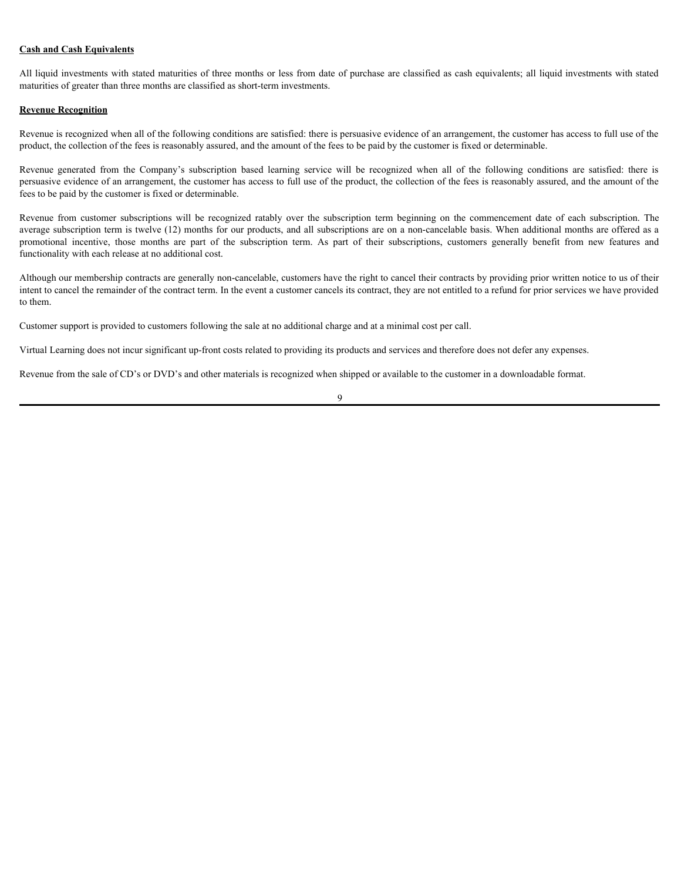## **Cash and Cash Equivalents**

All liquid investments with stated maturities of three months or less from date of purchase are classified as cash equivalents; all liquid investments with stated maturities of greater than three months are classified as short-term investments.

## **Revenue Recognition**

Revenue is recognized when all of the following conditions are satisfied: there is persuasive evidence of an arrangement, the customer has access to full use of the product, the collection of the fees is reasonably assured, and the amount of the fees to be paid by the customer is fixed or determinable.

persuasive evidence of an arrangement, the customer has access to full use of the product, the collection of the fees is reasonably assured, and the amount of the fees to be paid by the customer is fixed or determinable.

Cash and Cash Equivalents<br>All liquid investments with stated maturities of three months or less from date of purchase are classified as cash equivalents; all liquid investments with stated<br>maturities of greater than three **Cash and Cash Equivalents**<br>All liquid investments with stated maturities of three months or less from date of purchase are classified as cash equivalents; all liquid investments with stated<br>maturities of greater than thre average subscription term is twelve (12) months for our products, and all subscriptions are on a non-cancelable basis. When additional months are offered as a **Cush and Cash Equivalents**<br>All liquid investments with stated maturities of three months or less from date of purchase are classified as cash equivalents; all liquid investments with stated<br>maturities of greater than ther functionality with each release at no additional cost.

Although our membership contracts are generally non-cancelable, customers have the right to cancel their contracts by providing prior written notice to us of their intent to cancel the remainder of the contract term. In the event a customer cancels its contract, they are not entitled to a refund for prior services we have provided to them.

Customer support is provided to customers following the sale at no additional charge and at a minimal cost per call.

Virtual Learning does not incur significant up-front costs related to providing its products and services and therefore does not defer any expenses.

Revenue from the sale of CD's or DVD's and other materials is recognized when shipped or available to the customer in a downloadable format.

 $\overline{Q}$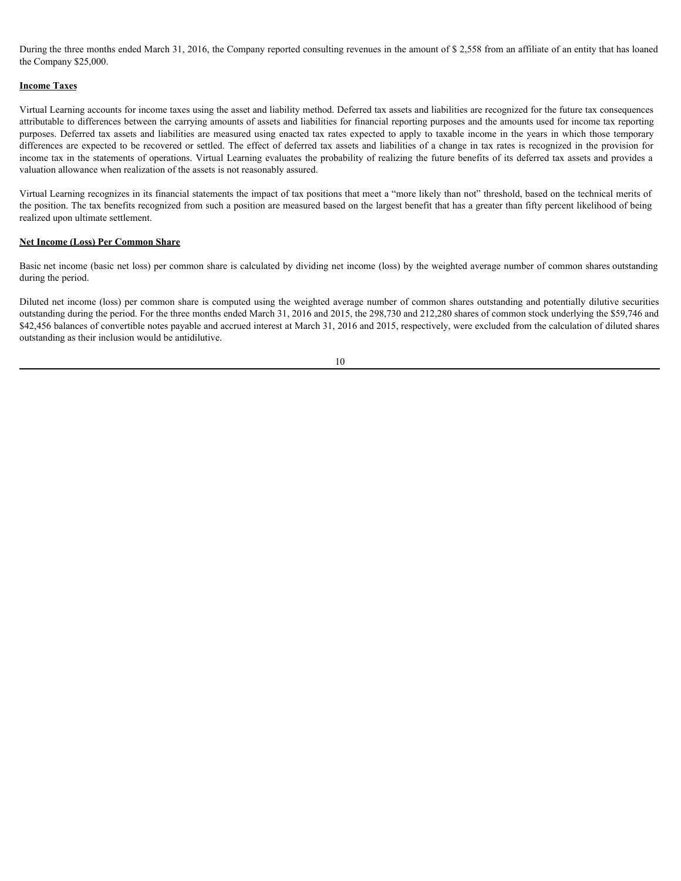During the three months ended March 31, 2016, the Company reported consulting revenues in the amount of \$ 2,558 from an affiliate of an entity that has loaned the Company \$25,000.

## **Income Taxes**

Virtual Learning accounts for income taxes using the asset and liability method. Deferred tax assets and liabilities are recognized for the future tax consequences attributable to differences between the carrying amounts of assets and liabilities for financial reporting purposes and the amounts used for income tax reporting purposes. Deferred tax assets and liabilities are measured using enacted tax rates expected to apply to taxable income in the years in which those temporary differences are expected to be recovered or settled. The effect of deferred tax assets and liabilities of a change in tax rates is recognized in the provision for income tax in the statements of operations. Virtual Learning evaluates the probability of realizing the future benefits of its deferred tax assets and provides a valuation allowance when realization of the assets is not reasonably assured.

Virtual Learning recognizes in its financial statements the impact of tax positions that meet a "more likely than not" threshold, based on the technical merits of the position. The tax benefits recognized from such a position are measured based on the largest benefit that has a greater than fifty percent likelihood of being realized upon ultimate settlement.

# **Net Income (Loss) Per Common Share**

Basic net income (basic net loss) per common share is calculated by dividing net income (loss) by the weighted average number of common shares outstanding during the period.

Diluted net income (loss) per common share is computed using the weighted average number of common shares outstanding and potentially dilutive securities outstanding during the period. For the three months ended March 31, 2016 and 2015, the 298,730 and 212,280 shares of common stock underlying the \$59,746 and \$42,456 balances of convertible notes payable and accrued interest at March 31, 2016 and 2015, respectively, were excluded from the calculation of diluted shares outstanding as their inclusion would be antidilutive.

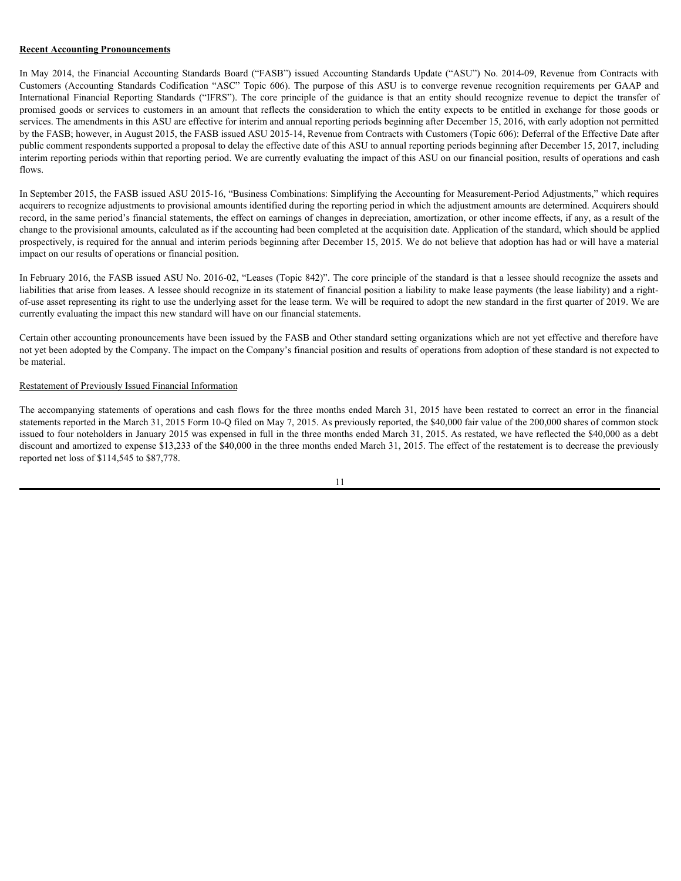### **Recent Accounting Pronouncements**

In May 2014, the Financial Accounting Standards Board ("FASB") issued Accounting Standards Update ("ASU") No. 2014-09, Revenue from Contracts with Recent Accounting Pronouncements<br>In May 2014, the Financial Accounting Standards Board ("FASB") issued Accounting Standards Update ("ASU") No. 2014-09, Revenue from Contracts with<br>Customers (Accounting Standards Codificati **Recent Accounting Pronouncements**<br>In May 2014, the Financial Accounting Standards Board ("FASB") issued Accounting Standards Update ("ASU") No. 2014-09, Revenue from Contracts with<br>Customers (Accounting Standards Codifica promised goods or services to customers in an amount that reflects the consideration to which the entity expects to be entitled in exchange for those goods or services. The amendments in this ASU are effective for interim and annual reporting periods beginning after December 15, 2016, with early adoption not permitted by the FASB; however, in August 2015, the FASB issued ASU 2015-14, Revenue from Contracts with Customers (Topic 606): Deferral of the Effective Date after public comment respondents supported a proposal to delay the effective date of this ASU to annual reporting periods beginning after December 15, 2017, including interim reporting periods within that reporting period. We are currently evaluating the impact of this ASU on our financial position, results of operations and cash flows.

In September 2015, the FASB issued ASU 2015-16, "Business Combinations: Simplifying the Accounting for Measurement-Period Adjustments," which requires acquirers to recognize adjustments to provisional amounts identified during the reporting period in which the adjustment amounts are determined. Acquirers should record, in the same period's financial statements, the effect on earnings of changes in depreciation, amortization, or other income effects, if any, as a result of the change to the provisional amounts, calculated as if the accounting had been completed at the acquisition date. Application of the standard, which should be applied prospectively, is required for the annual and interim periods beginning after December 15, 2015. We do not believe that adoption has had or will have a material impact on our results of operations or financial position.

In February 2016, the FASB issued ASU No. 2016-02, "Leases (Topic 842)". The core principle of the standard is that a lessee should recognize the assets and liabilities that arise from leases. A lessee should recognize in its statement of financial position a liability to make lease payments (the lease liability) and a rightof-use asset representing its right to use the underlying asset for the lease term. We will be required to adopt the new standard in the first quarter of 2019. We are currently evaluating the impact this new standard will have on our financial statements.

Certain other accounting pronouncements have been issued by the FASB and Other standard setting organizations which are not yet effective and therefore have not yet been adopted by the Company. The impact on the Company's financial position and results of operations from adoption of these standard is not expected to be material.

## Restatement of Previously Issued Financial Information

The accompanying statements of operations and cash flows for the three months ended March 31, 2015 have been restated to correct an error in the financial statements reported in the March 31, 2015 Form 10-Q filed on May 7, 2015. As previously reported, the \$40,000 fair value of the 200,000 shares of common stock issued to four noteholders in January 2015 was expensed in full in the three months ended March 31, 2015. As restated, we have reflected the \$40,000 as a debt discount and amortized to expense \$13,233 of the \$40,000 in the three months ended March 31, 2015. The effect of the restatement is to decrease the previously reported net loss of \$114,545 to \$87,778.

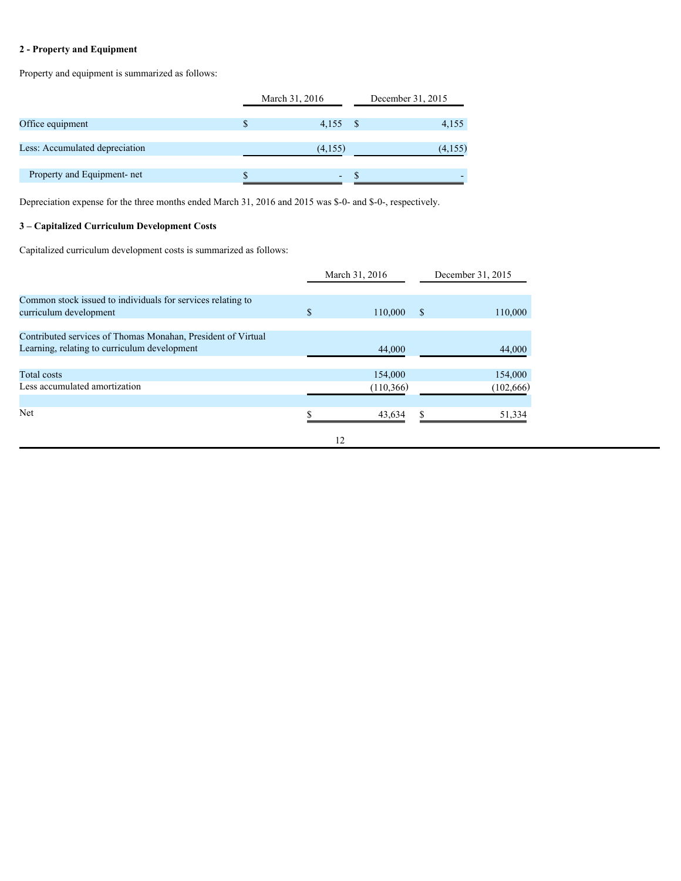# **2 - Property and Equipment**

Property and equipment is summarized as follows:

|                                | March 31, 2016 |               | December 31, 2015 |         |
|--------------------------------|----------------|---------------|-------------------|---------|
| Office equipment               |                | $4,155$ \$    |                   | 4,155   |
| Less: Accumulated depreciation |                | (4,155)       |                   | (4,155) |
| Property and Equipment- net    |                | $\sim$ $\sim$ |                   |         |

Depreciation expense for the three months ended March 31, 2016 and 2015 was \$-0- and \$-0-, respectively.

# **3 – Capitalized Curriculum Development Costs**

Capitalized curriculum development costs is summarized as follows:

|                                                              | March 31, 2016 |     | December 31, 2015 |  |  |
|--------------------------------------------------------------|----------------|-----|-------------------|--|--|
| Common stock issued to individuals for services relating to  |                |     |                   |  |  |
| curriculum development                                       | 110,000        | \$. | 110,000           |  |  |
|                                                              |                |     |                   |  |  |
| Contributed services of Thomas Monahan, President of Virtual |                |     |                   |  |  |
| Learning, relating to curriculum development                 | 44,000         |     | 44,000            |  |  |
|                                                              |                |     |                   |  |  |
| Total costs                                                  | 154,000        |     | 154,000           |  |  |
| Less accumulated amortization                                | (110, 366)     |     | (102, 666)        |  |  |
|                                                              |                |     |                   |  |  |
| Net                                                          | 43,634         |     | 51,334            |  |  |
|                                                              |                |     |                   |  |  |
|                                                              | 12             |     |                   |  |  |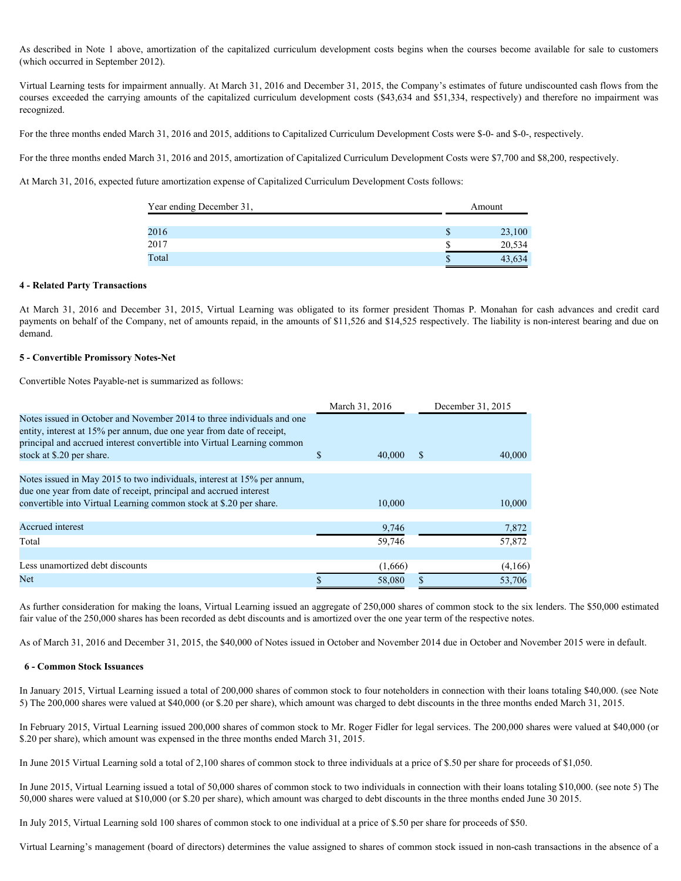As described in Note 1 above, amortization of the capitalized curriculum development costs begins when the courses become available for sale to customers<br>(which occurred in September 2012).<br>Virtual Learning tests for impai Virtual Learning tests for impairment annually. At March 31, 2016 and December 31, 2015, the Company's estimates of future undiscounted cash flows from the courses exceeded the carrying amounts of the capitalized curriculum development costs (\$43,634 and \$51,334, respectively) and therefore no impairment was recognized.

|             | As described in Note 1 above, amortization of the capitalized curriculum development costs begins when the courses become available for sale to customers<br>(which occurred in September 2012).                                                                                                                           |                            |  |
|-------------|----------------------------------------------------------------------------------------------------------------------------------------------------------------------------------------------------------------------------------------------------------------------------------------------------------------------------|----------------------------|--|
| recognized. | Virtual Learning tests for impairment annually. At March 31, 2016 and December 31, 2015, the Company's estimates of future undiscounted cash flows from the<br>courses exceeded the carrying amounts of the capitalized curriculum development costs (\$43,634 and \$51,334, respectively) and therefore no impairment was |                            |  |
|             | For the three months ended March 31, 2016 and 2015, additions to Capitalized Curriculum Development Costs were \$-0- and \$-0-, respectively.                                                                                                                                                                              |                            |  |
|             | For the three months ended March 31, 2016 and 2015, amortization of Capitalized Curriculum Development Costs were \$7,700 and \$8,200, respectively.                                                                                                                                                                       |                            |  |
|             | At March 31, 2016, expected future amortization expense of Capitalized Curriculum Development Costs follows:                                                                                                                                                                                                               |                            |  |
|             | Year ending December 31,                                                                                                                                                                                                                                                                                                   | Amount                     |  |
|             | 2016<br>2017<br>Total                                                                                                                                                                                                                                                                                                      | 23,100<br>20,534<br>43,634 |  |
|             | <b>4 - Related Party Transactions</b>                                                                                                                                                                                                                                                                                      |                            |  |
|             | At March 31, 2016 and December 31, 2015, Virtual Learning was obligated to its former president Thomas P. Monahan for cash advances and credit card<br>payments on behalf of the Company, net of amounts repaid, in the amounts of \$11,526 and \$14,525 respectively. The liability is non-interest bearing and due on    |                            |  |
| demand.     |                                                                                                                                                                                                                                                                                                                            |                            |  |
|             | 5 - Convertible Promissory Notes-Net                                                                                                                                                                                                                                                                                       |                            |  |
|             | Convertible Notes Payable-net is summarized as follows:                                                                                                                                                                                                                                                                    |                            |  |

#### **4 - Related Party Transactions**

#### **5 - Convertible Promissory Notes-Net**

|                                                                                                                                                                                                                                                         | March 31, 2016 |    | December 31, 2015 |
|---------------------------------------------------------------------------------------------------------------------------------------------------------------------------------------------------------------------------------------------------------|----------------|----|-------------------|
| Notes issued in October and November 2014 to three individuals and one<br>entity, interest at 15% per annum, due one year from date of receipt,<br>principal and accrued interest convertible into Virtual Learning common<br>stock at \$.20 per share. | 40,000         | -S | 40,000            |
|                                                                                                                                                                                                                                                         |                |    |                   |
| Notes issued in May 2015 to two individuals, interest at 15% per annum,<br>due one year from date of receipt, principal and accrued interest<br>convertible into Virtual Learning common stock at \$.20 per share.                                      | 10,000         |    | 10,000            |
| Accrued interest                                                                                                                                                                                                                                        | 9,746          |    | 7,872             |
| Total                                                                                                                                                                                                                                                   | 59,746         |    | 57,872            |
|                                                                                                                                                                                                                                                         |                |    |                   |
| Less unamortized debt discounts                                                                                                                                                                                                                         | (1,666)        |    | (4,166)           |
| Net                                                                                                                                                                                                                                                     | 58,080         |    | 53,706            |

As further consideration for making the loans, Virtual Learning issued an aggregate of 250,000 shares of common stock to the six lenders. The \$50,000 estimated fair value of the 250,000 shares has been recorded as debt discounts and is amortized over the one year term of the respective notes.

As of March 31, 2016 and December 31, 2015, the \$40,000 of Notes issued in October and November 2014 due in October and November 2015 were in default.

### **6 - Common Stock Issuances**

In January 2015, Virtual Learning issued a total of 200,000 shares of common stock to four noteholders in connection with their loans totaling \$40,000. (see Note 5) The 200,000 shares were valued at \$40,000 (or \$.20 per share), which amount was charged to debt discounts in the three months ended March 31, 2015.

In February 2015, Virtual Learning issued 200,000 shares of common stock to Mr. Roger Fidler for legal services. The 200,000 shares were valued at \$40,000 (or \$.20 per share), which amount was expensed in the three months ended March 31, 2015.

In June 2015 Virtual Learning sold a total of 2,100 shares of common stock to three individuals at a price of \$.50 per share for proceeds of \$1,050.

In June 2015, Virtual Learning issued a total of 50,000 shares of common stock to two individuals in connection with their loans totaling \$10,000. (see note 5) The 50,000 shares were valued at \$10,000 (or \$.20 per share), which amount was charged to debt discounts in the three months ended June 30 2015.

In July 2015, Virtual Learning sold 100 shares of common stock to one individual at a price of \$.50 per share for proceeds of \$50.

Virtual Learning's management (board of directors) determines the value assigned to shares of common stock issued in non-cash transactions in the absence of a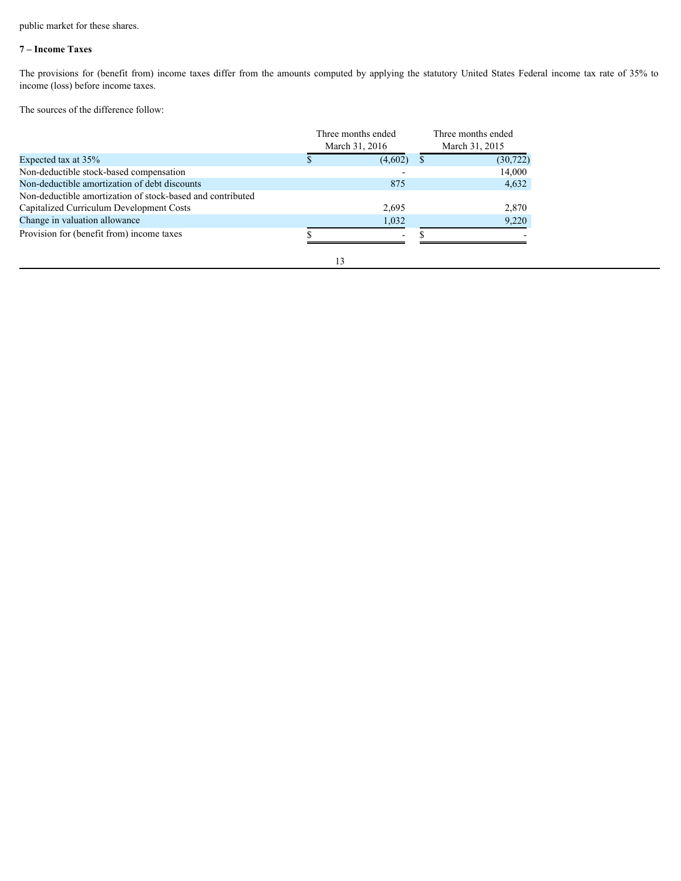# **7 – Income Taxes**

| public market for these shares.                                                                                                                           |                          |                            |  |
|-----------------------------------------------------------------------------------------------------------------------------------------------------------|--------------------------|----------------------------|--|
| 7 - Income Taxes                                                                                                                                          |                          |                            |  |
|                                                                                                                                                           |                          |                            |  |
| The provisions for (benefit from) income taxes differ from the amounts computed by applying the statutory United States Federal income tax rate of 35% to |                          |                            |  |
| income (loss) before income taxes.                                                                                                                        |                          |                            |  |
| The sources of the difference follow:                                                                                                                     |                          |                            |  |
|                                                                                                                                                           | Three months ended       | Three months ended         |  |
|                                                                                                                                                           | March 31, 2016           | March 31, 2015             |  |
| Expected tax at 35%                                                                                                                                       | (4,602)<br>$\mathbb{S}$  | $\mathcal{S}$<br>(30, 722) |  |
| Non-deductible stock-based compensation                                                                                                                   | $\overline{\phantom{a}}$ | 14,000                     |  |
| Non-deductible amortization of debt discounts<br>Non-deductible amortization of stock-based and contributed                                               | 875                      | 4,632                      |  |
| Capitalized Curriculum Development Costs                                                                                                                  | 2,695                    | 2,870                      |  |
| Change in valuation allowance                                                                                                                             | 1,032                    | 9,220                      |  |
| Provision for (benefit from) income taxes                                                                                                                 | S.<br>$\sim$             | $\mathbb{S}$               |  |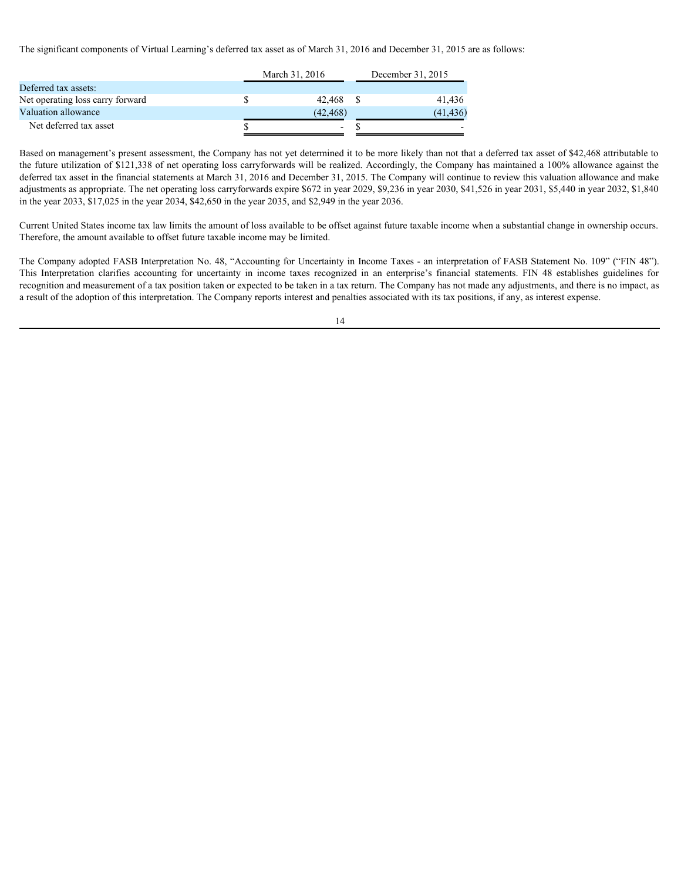The significant components of Virtual Learning's deferred tax asset as of March 31, 2016 and December 31, 2015 are as follows:

|                                  | March 31, 2016           | December 31, 2015        |
|----------------------------------|--------------------------|--------------------------|
| Deferred tax assets:             |                          |                          |
| Net operating loss carry forward | 42,468                   | 41,436                   |
| Valuation allowance              | (42, 468)                | (41, 436)                |
| Net deferred tax asset           | $\overline{\phantom{0}}$ | $\overline{\phantom{0}}$ |
|                                  |                          |                          |

Based on management's present assessment, the Company has not yet determined it to be more likely than not that a deferred tax asset of \$42,468 attributable to the future utilization of \$121,338 of net operating loss carryforwards will be realized. Accordingly, the Company has maintained a 100% allowance against the deferred tax asset in the financial statements at March 31, 2016 and December 31, 2015. The Company will continue to review this valuation allowance and make adjustments as appropriate. The net operating loss carryforwards expire \$672 in year 2029, \$9,236 in year 2030, \$41,526 in year 2031, \$5,440 in year 2032, \$1,840 in the year 2033, \$17,025 in the year 2034, \$42,650 in the year 2035, and \$2,949 in the year 2036. The significant components of Virtual Learning's deferred tax asset as of March 31, 2016 and December 31, 2015<br>
Determediat assests.<br>
Net operating loss earry forward<br>
Station allowing accounting the second assessment, th

Current United States income tax law limits the amount of loss available to be offset against future taxable income when a substantial change in ownership occurs. Therefore, the amount available to offset future taxable income may be limited.

The Company adopted FASB Interpretation No. 48, "Accounting for Uncertainty in Income Taxes - an interpretation of FASB Statement No. 109" ("FIN 48"). recognition and measurement of a tax position taken or expected to be taken in a tax return. The Company has not made any adjustments, and there is no impact, as a result of the adoption of this interpretation. The Company reports interest and penalties associated with its tax positions, if any, as interest expense.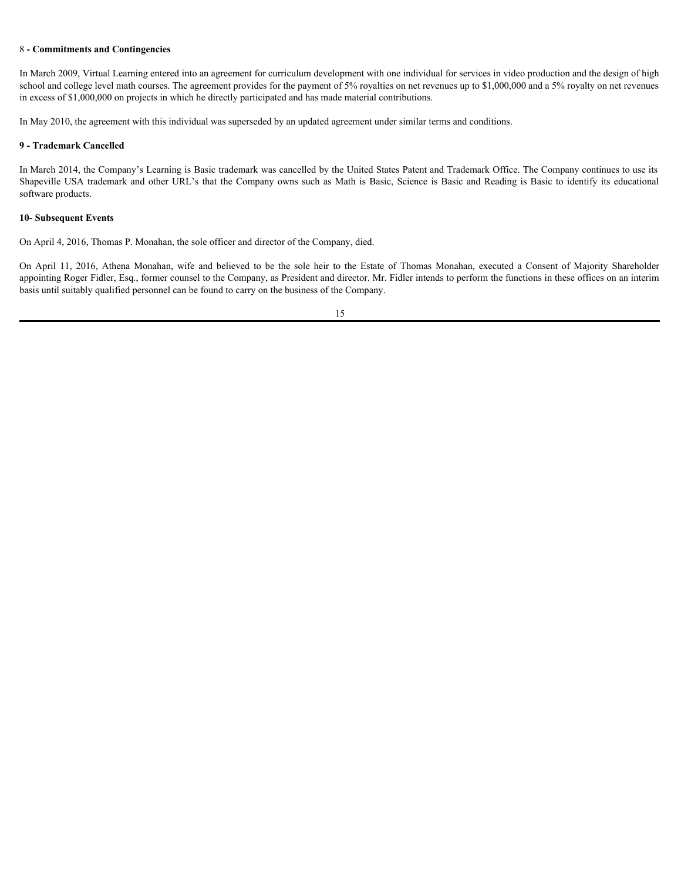### 8 **- Commitments and Contingencies**

In March 2009, Virtual Learning entered into an agreement for curriculum development with one individual for services in video production and the design of high school and college level math courses. The agreement provides for the payment of 5% royalties on net revenues up to \$1,000,000 and a 5% royalty on net revenues in excess of \$1,000,000 on projects in which he directly participated and has made material contributions. S - Commitments and Contingencies<br>
In March 2009, Virtual Learning entered into an agreement for curriculum development with one individual for services in video production and the design of high<br>
shock shock and college l 8 - Commitments and Contingencies<br>In March 2009, Virtual Learning entered into an agreement for curriculum development with one individual for services in video preduction and the design of high<br>selected and college level

In May 2010, the agreement with this individual was superseded by an updated agreement under similar terms and conditions.

# **9 - Trademark Cancelled**

In March 2014, the Company's Learning is Basic trademark was cancelled by the United States Patent and Trademark Office. The Company continues to use its software products.

#### **10- Subsequent Events**

On April 4, 2016, Thomas P. Monahan, the sole officer and director of the Company, died.

appointing Roger Fidler, Esq., former counsel to the Company, as President and director. Mr. Fidler intends to perform the functions in these offices on an interim basis until suitably qualified personnel can be found to carry on the business of the Company.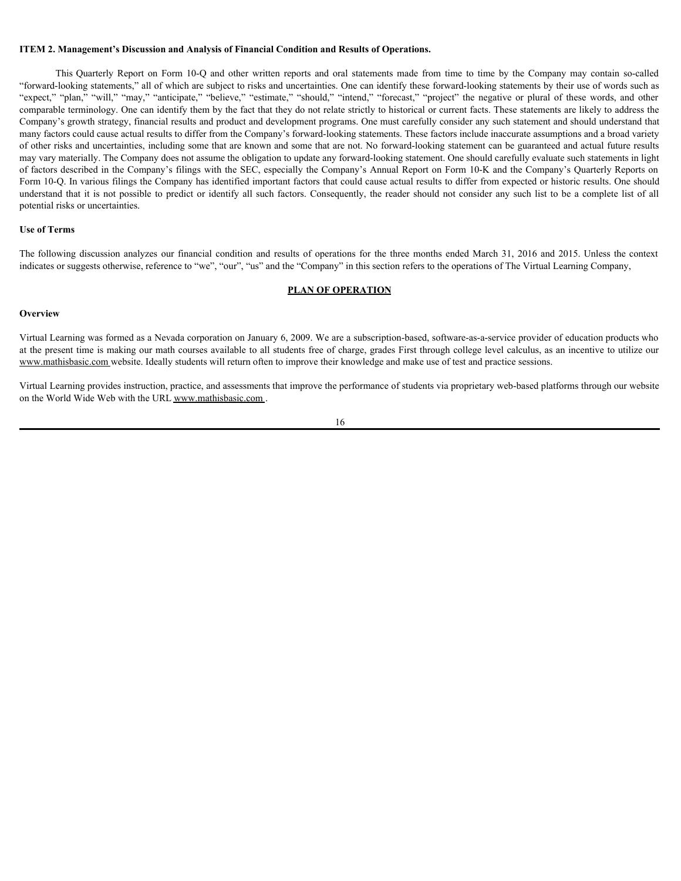#### <span id="page-16-0"></span>**ITEM 2. Management's Discussion and Analysis of Financial Condition and Results of Operations.**

**Management's Discussion and Analysis of Financial Condition and Results of Operations.**<br>This Quarterly Report on Form 10-Q and other written reports and oral statements made from time to time by the Company may contain so "forward-looking statements," all of which are subject to risks and uncertainties. One can identify these forward-looking statements by their use of words such as TTEM 2. Management's Discussion and Analysis of Financial Condition and Results of Operations.<br>
This Quarterly Report on Form 10-Q and other written reports and oral statements made from time to time by the Company may con comparable terminology. One can identify them by the fact that they do not relate strictly to historical or current facts. These statements are likely to address the Company's growth strategy, financial results and product and development programs. One must carefully consider any such statement and should understand that many factors could cause actual results to differ from the Company's forward-looking statements. These factors include inaccurate assumptions and a broad variety of other risks and uncertainties, including some that are known and some that are not. No forward-looking statement can be guaranteed and actual future results may vary materially. The Company does not assume the obligation to update any forward-looking statement. One should carefully evaluate such statements in light of factors described in the Company's filings with the SEC, especially the Company's Annual Report on Form 10-K and the Company's Quarterly Reports on Form 10-Q. In various filings the Company has identified important factors that could cause actual results to differ from expected or historic results. One should understand that it is not possible to predict or identify all such factors. Consequently, the reader should not consider any such list to be a complete list of all potential risks or uncertainties. TTEM 2. Management's Discussion and Analysis of Financial Condition and Results of Operations.<br>
The Quartery Report on Form 10-Q and other written reports and one statements made from time to time by the Company rany cont

#### **Use of Terms**

indicates or suggests otherwise, reference to "we", "our", "us" and the "Company" in this section refers to the operations of The Virtual Learning Company,

#### **PLAN OF OPERATION**

#### **Overview Overview** *Overview*

Virtual Learning was formed as a Nevada corporation on January 6, 2009. We are a subscription-based, software-as-a-service provider of education products who at the present time is making our math courses available to all students free of charge, grades First through college level calculus, as an incentive to utilize our www.mathisbasic.com website. Ideally students will return often to improve their knowledge and make use of test and practice sessions.

Virtual Learning provides instruction, practice, and assessments that improve the performance of students via proprietary web-based platforms through our website on the World Wide Web with the URL www.mathisbasic.com .

16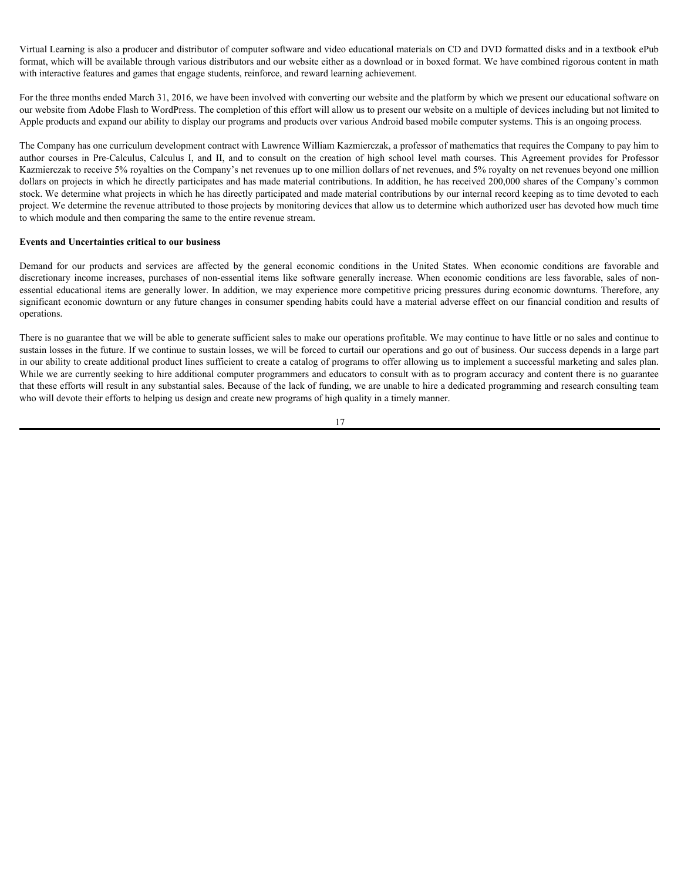Virtual Learning is also a producer and distributor of computer software and video educational materials on CD and DVD formatted disks and in a textbook ePub format, which will be available through various distributors and our website either as a download or in boxed format. We have combined rigorous content in math with interactive features and games that engage students, reinforce, and reward learning achievement.

For the three months ended March 31, 2016, we have been involved with converting our website and the platform by which we present our educational software on our website from Adobe Flash to WordPress. The completion of this effort will allow us to present our website on a multiple of devices including but not limited to Apple products and expand our ability to display our programs and products over various Android based mobile computer systems. This is an ongoing process.

The Company has one curriculum development contract with Lawrence William Kazmierczak, a professor of mathematics that requires the Company to pay him to Virtual Learning is also a producer and distributor of computer software and video educational materials on CD and DVD formatted disks and in a textbook ePub<br>format, which will be available hrough various distributors and Kazmierczak to receive 5% royalties on the Company's net revenues up to one million dollars of net revenues, and 5% royalty on net revenues beyond one million dollars on projects in which he directly participates and has made material contributions. In addition, he has received 200,000 shares of the Company's common stock. We determine what projects in which he has directly participated and made material contributions by our internal record keeping as to time devoted to each project. We determine the revenue attributed to those projects by monitoring devices that allow us to determine which authorized user has devoted how much time to which module and then comparing the same to the entire revenue stream. Writal Learning is also a producer and distribution of computer software and video educational materials on CD and DVD formaled disks and in textbook ePub<br>formal which will be contable forcego strandary are not are affect Virtual Learning is also a producer and distribution of computer sellware and video educational anterials on CD and DVD formated disks and in textbook ePlo<br>format, which will be variable foreegly verton materiales and our

#### **Events and Uncertainties critical to our business**

essential educational items are generally lower. In addition, we may experience more competitive pricing pressures during economic downturns. Therefore, any significant economic downturn or any future changes in consumer spending habits could have a material adverse effect on our financial condition and results of operations.

There is no guarantee that we will be able to generate sufficient sales to make our operations profitable. We may continue to have little or no sales and continue to sustain losses in the future. If we continue to sustain losses, we will be forced to curtail our operations and go out of business. Our success depends in a large part in our ability to create additional product lines sufficient to create a catalog of programs to offer allowing us to implement a successful marketing and sales plan. While we are currently seeking to hire additional computer programmers and educators to consult with as to program accuracy and content there is no guarantee that these efforts will result in any substantial sales. Because of the lack of funding, we are unable to hire a dedicated programming and research consulting team who will devote their efforts to helping us design and create new programs of high quality in a timely manner.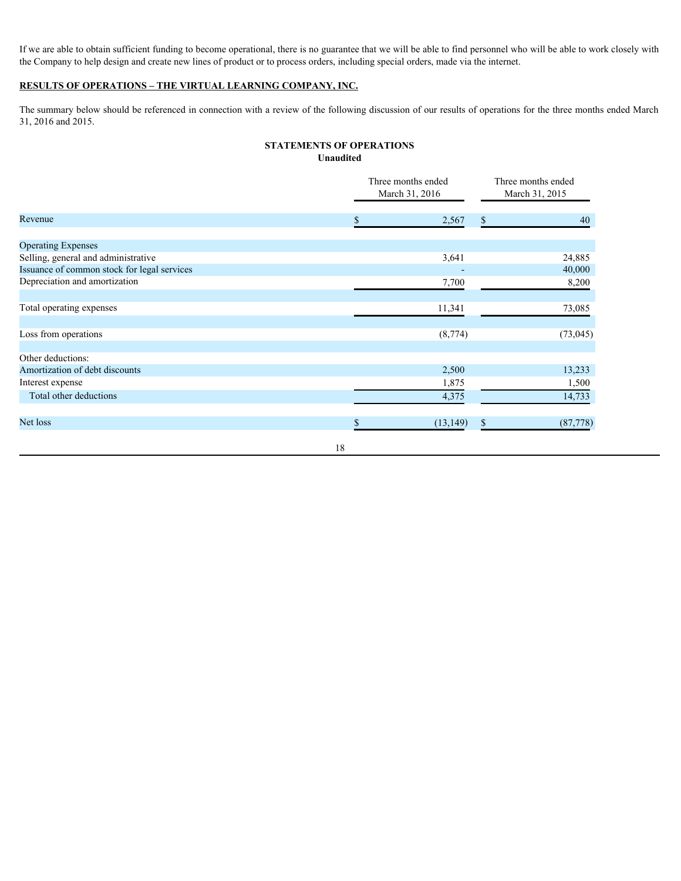If we are able to obtain sufficient funding to become operational, there is no guarantee that we will be able to find personnel who will be able to work closely with the Company to help design and create new lines of product or to process orders, including special orders, made via the internet.

# **RESULTS OF OPERATIONS – THE VIRTUAL LEARNING COMPANY, INC.**

The summary below should be referenced in connection with a review of the following discussion of our results of operations for the three months ended March 31, 2016 and 2015.

# **STATEMENTS OF OPERATIONS Unaudited**

|                                             |    | Three months ended<br>March 31, 2016 | Three months ended<br>March 31, 2015 |           |  |
|---------------------------------------------|----|--------------------------------------|--------------------------------------|-----------|--|
| Revenue                                     |    | 2,567                                | Эħ                                   | 40        |  |
| <b>Operating Expenses</b>                   |    |                                      |                                      |           |  |
| Selling, general and administrative         |    | 3,641                                |                                      | 24,885    |  |
| Issuance of common stock for legal services |    |                                      |                                      | 40,000    |  |
| Depreciation and amortization               |    | 7,700                                |                                      | 8,200     |  |
| Total operating expenses                    |    | 11,341                               |                                      | 73,085    |  |
| Loss from operations                        |    | (8,774)                              |                                      | (73, 045) |  |
| Other deductions:                           |    |                                      |                                      |           |  |
| Amortization of debt discounts              |    | 2,500                                |                                      | 13,233    |  |
| Interest expense                            |    | 1,875                                |                                      | 1,500     |  |
| Total other deductions                      |    | 4,375                                |                                      | 14,733    |  |
| Net loss                                    |    | (13, 149)                            |                                      | (87, 778) |  |
|                                             | 18 |                                      |                                      |           |  |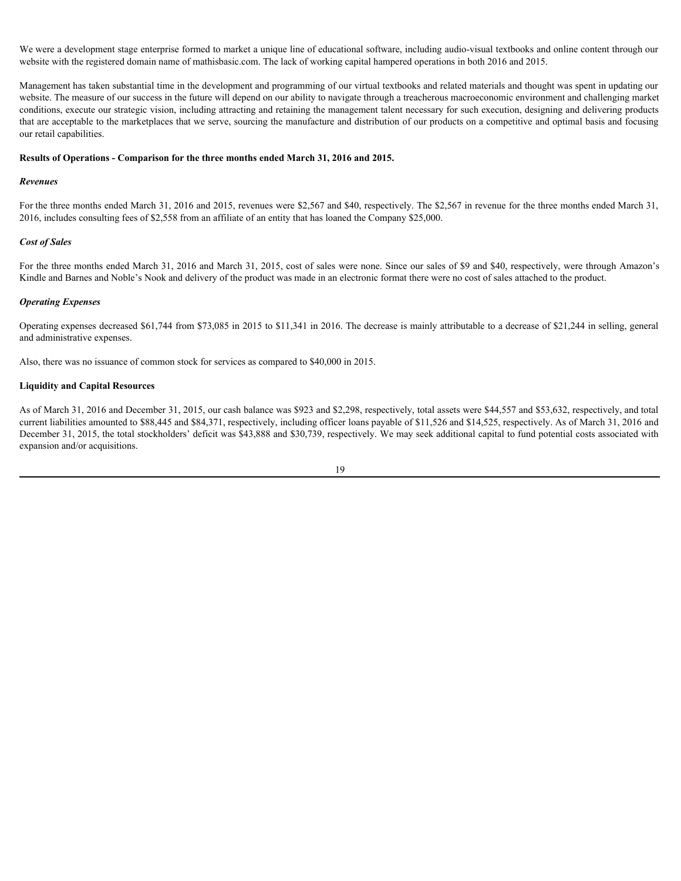We were a development stage enterprise formed to market a unique line of educational software, including audio-visual textbooks and online content through our website with the registered domain name of mathisbasic.com. The lack of working capital hampered operations in both 2016 and 2015.

Management has taken substantial time in the development and programming of our virtual textbooks and related materials and thought was spent in updating our website. The measure of our success in the future will depend on our ability to navigate through a treacherous macroeconomic environment and challenging market conditions, execute our strategic vision, including attracting and retaining the management talent necessary for such execution, designing and delivering products that are acceptable to the marketplaces that we serve, sourcing the manufacture and distribution of our products on a competitive and optimal basis and focusing our retail capabilities.

#### **Results of Operations - Comparison for the three months ended March 31, 2016 and 2015.**

#### *Revenues*

For the three months ended March 31, 2016 and 2015, revenues were \$2,567 and \$40, respectively. The \$2,567 in revenue for the three months ended March 31, 2016, includes consulting fees of \$2,558 from an affiliate of an entity that has loaned the Company \$25,000.

#### *Cost of Sales*

For the three months ended March 31, 2016 and March 31, 2015, cost of sales were none. Since our sales of \$9 and \$40, respectively, were through Amazon's Kindle and Barnes and Noble's Nook and delivery of the product was made in an electronic format there were no cost of sales attached to the product.

### *Operating Expenses*

Operating expenses decreased \$61,744 from \$73,085 in 2015 to \$11,341 in 2016. The decrease is mainly attributable to a decrease of \$21,244 in selling, general and administrative expenses.

Also, there was no issuance of common stock for services as compared to \$40,000 in 2015.

### **Liquidity and Capital Resources**

As of March 31, 2016 and December 31, 2015, our cash balance was \$923 and \$2,298, respectively, total assets were \$44,557 and \$53,632, respectively, and total current liabilities amounted to \$88,445 and \$84,371, respectively, including officer loans payable of \$11,526 and \$14,525, respectively. As of March 31, 2016 and December 31, 2015, the total stockholders' deficit was \$43,888 and \$30,739, respectively. We may seek additional capital to fund potential costs associated with expansion and/or acquisitions.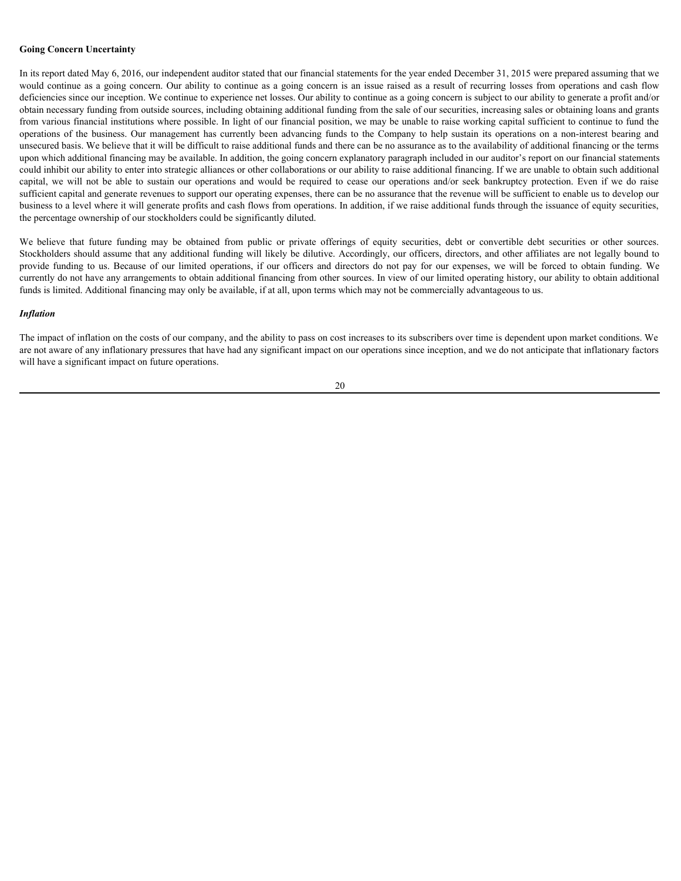#### **Going Concern Uncertainty**

In its report dated May 6, 2016, our independent auditor stated that our financial statements for the year ended December 31, 2015 were prepared assuming that we would continue as a going concern. Our ability to continue as a going concern is an issue raised as a result of recurring losses from operations and cash flow deficiencies since our inception. We continue to experience net losses. Our ability to continue as a going concern is subject to our ability to generate a profit and/or obtain necessary funding from outside sources, including obtaining additional funding from the sale of our securities, increasing sales or obtaining loans and grants from various financial institutions where possible. In light of our financial position, we may be unable to raise working capital sufficient to continue to fund the operations of the business. Our management has currently **Going Concern Uncertainty**<br>In its report dated May 6, 2016, our independent auditor stated that our financial statements for the year ended December 31, 2015 were prepared assuming that we<br>would continue as a going conce unsecured basis. We believe that it will be difficult to raise additional funds and there can be no assurance as to the availability of additional financing or the terms upon which additional financing may be available. In addition, the going concern explanatory paragraph included in our auditor's report on our financial statements could inhibit our ability to enter into strategic alliances or other collaborations or our ability to raise additional financing. If we are unable to obtain such additional **Going Concern Uncertainty**<br>In is report dated May 6, 2016, our independent auditor stated that our financial statements for the year ended December 31, 2015 were prepared assuming that we<br>would continue as a going concer sufficient capital and generate revenues to support our operating expenses, there can be no assurance that the revenue will be sufficient to enable us to develop our business to a level where it will generate profits and cash flows from operations. In addition, if we raise additional funds through the issuance of equity securities, the percentage ownership of our stockholders could be significantly diluted. Going Concern Uncertainty<br>
In its report dated May 6, 2016, cor independent auditor stated that our financial statements for the year ended December 31, 2015 were prepared assuming that we<br>
would continue as a going conce Going Concern Uncertainty<br>
In its report dated May 6, 2016, our independent and/ior sitied that our financial statements for the year ended December 31, 2015 were prepared assuming that we<br>
would certifient as a going conc

Stockholders should assume that any additional funding will likely be dilutive. Accordingly, our officers, directors, and other affiliates are not legally bound to currently do not have any arrangements to obtain additional financing from other sources. In view of our limited operating history, our ability to obtain additional funds is limited. Additional financing may only be available, if at all, upon terms which may not be commercially advantageous to us.

#### *Inflation*

The impact of inflation on the costs of our company, and the ability to pass on cost increases to its subscribers over time is dependent upon market conditions. We are not aware of any inflationary pressures that have had any significant impact on our operations since inception, and we do not anticipate that inflationary factors will have a significant impact on future operations.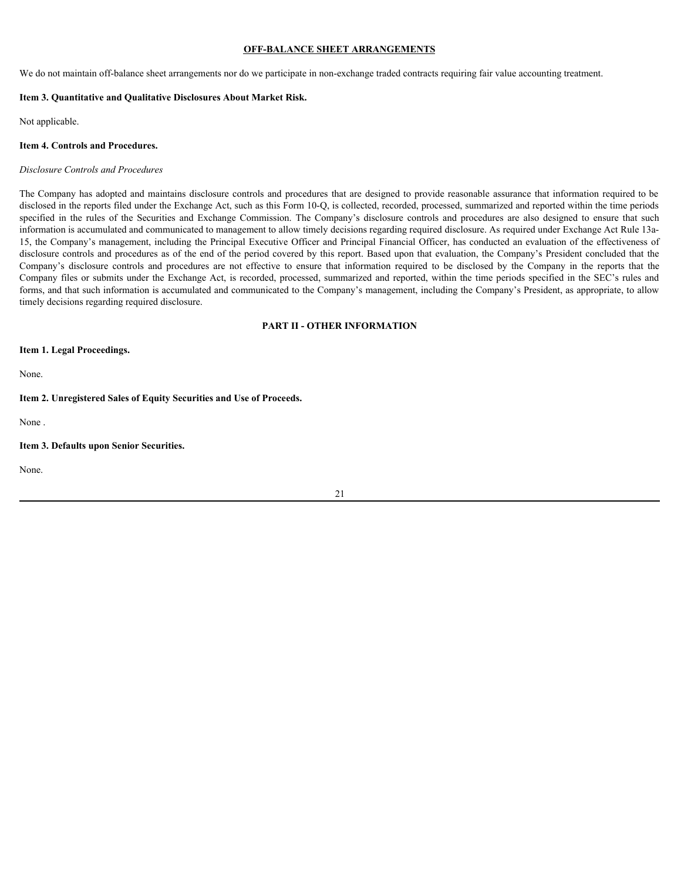### **OFF-BALANCE SHEET ARRANGEMENTS**

We do not maintain off-balance sheet arrangements nor do we participate in non-exchange traded contracts requiring fair value accounting treatment.

### <span id="page-21-0"></span>**Item 3. Quantitative and Qualitative Disclosures About Market Risk.**

Not applicable.

### <span id="page-21-1"></span>**Item 4. Controls and Procedures.**

#### *Disclosure Controls and Procedures*

The Company has adopted and maintains disclosure controls and procedures that are designed to provide reasonable assurance that information required to be disclosed in the reports filed under the Exchange Act, such as this Form 10-Q, is collected, recorded, processed, summarized and reported within the time periods **OFF-BALANCE SILEET ARRANGEMIES**<br>
Ve do not maintain off-balance sheet arrangements nor do we participate in non-exchange traded contracts requiring fair value accounting reatment.<br>
Item 3. Quantitative and Qualitative Dis information is accumulated and communicated to management to allow timely decisions regarding required disclosure. As required under Exchange Act Rule 13a-15, the Company's management, including the Principal Executive Officer and Principal Financial Officer, has conducted an evaluation of the effectiveness of disclosure controls and procedures as of the end of the period covered by this report. Based upon that evaluation, the Company's President concluded that the **COF-BALANCE SHEET ARRANGEMIENTS**<br>
Ve do not maintain of Jelalance sheet arrangements aor do we participate in non-exchange traded contracts requiring fair value accounting treatment.<br>
Item 4. Controls and Procedures.<br>
Dis Company files or submits under the Exchange Act, is recorded, processed, summarized and reported, within the time periods specified in the SEC's rules and forms, and that such information is accumulated and communicated to the Company's management, including the Company's President, as appropriate, to allow timely decisions regarding required disclosure.

### **PART II - OTHER INFORMATION**

### <span id="page-21-3"></span><span id="page-21-2"></span>**Item 1. Legal Proceedings.**

None.

### <span id="page-21-4"></span>**Item 2. Unregistered Sales of Equity Securities and Use of Proceeds.**

None .

#### <span id="page-21-5"></span>**Item 3. Defaults upon Senior Securities.**

None.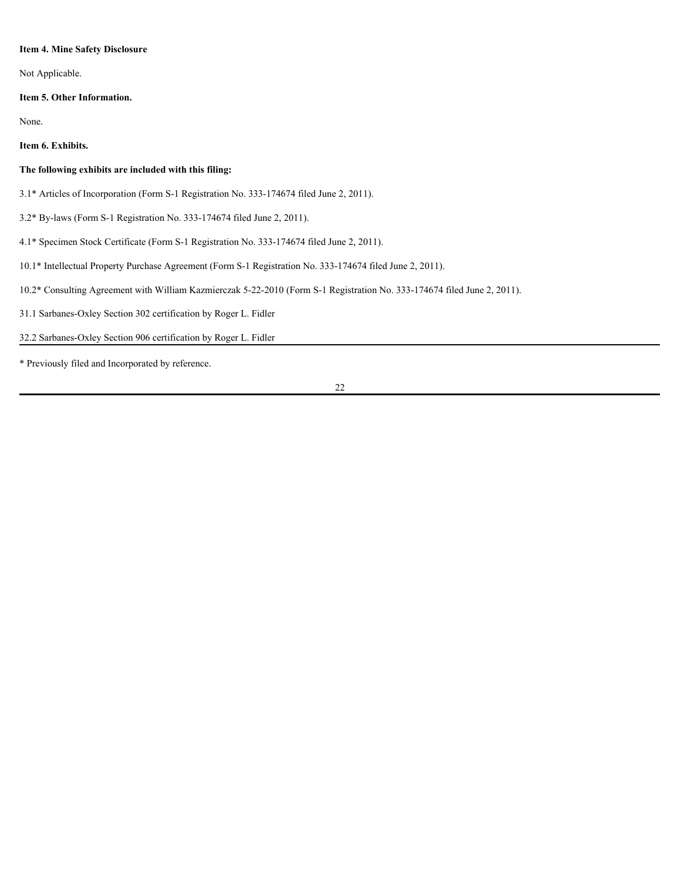# <span id="page-22-0"></span>**Item 4. Mine Safety Disclosure**

Not Applicable.

## <span id="page-22-1"></span>**Item 5. Other Information.**

None.

# <span id="page-22-2"></span>**Item 6. Exhibits.**

# **The following exhibits are included with this filing:**

- 3.1\* Articles of Incorporation (Form S-1 Registration No. 333-174674 filed June 2, 2011).
- 3.2\* By-laws (Form S-1 Registration No. 333-174674 filed June 2, 2011).
- 4.1\* Specimen Stock Certificate (Form S-1 Registration No. 333-174674 filed June 2, 2011).
- 10.1\* Intellectual Property Purchase Agreement (Form S-1 Registration No. 333-174674 filed June 2, 2011).
- 10.2\* Consulting Agreement with William Kazmierczak 5-22-2010 (Form S-1 Registration No. 333-174674 filed June 2, 2011).
- 31.1 Sarbanes-Oxley Section 302 certification by Roger L. Fidler

32.2 Sarbanes-Oxley Section 906 certification by Roger L. Fidler

\* Previously filed and Incorporated by reference.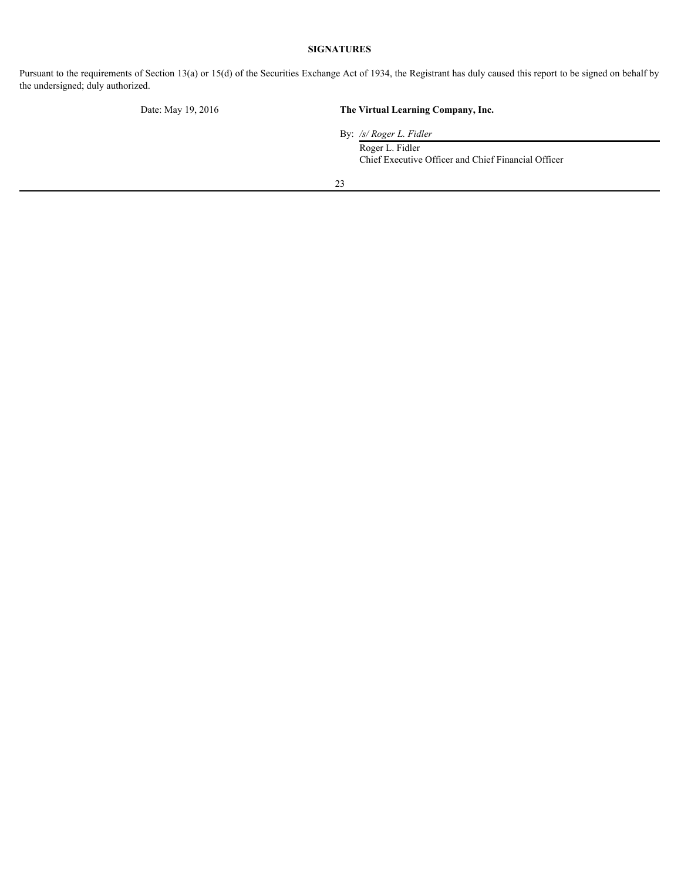# **SIGNATURES**

<span id="page-23-0"></span>Pursuant to the requirements of Section 13(a) or 15(d) of the Securities Exchange Act of 1934, the Registrant has duly caused this report to be signed on behalf by the undersigned; duly authorized.

# Date: May 19, 2016 **The Virtual Learning Company, Inc.**

By: */s/ Roger L. Fidler*

Roger L. Fidler Chief Executive Officer and Chief Financial Officer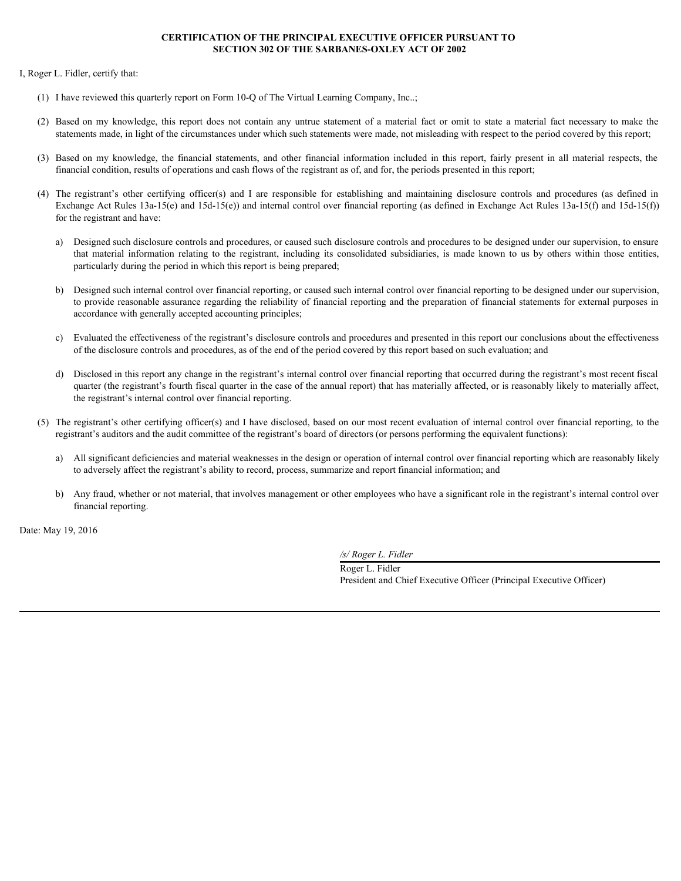# **CERTIFICATION OF THE PRINCIPAL EXECUTIVE OFFICER PURSUANT TO SECTION 302 OF THE SARBANES-OXLEY ACT OF 2002**

### I, Roger L. Fidler, certify that:

- (1) I have reviewed this quarterly report on Form 10-Q of The Virtual Learning Company, Inc..;
- statements made, in light of the circumstances under which such statements were made, not misleading with respect to the period covered by this report;
- financial condition, results of operations and cash flows of the registrant as of, and for, the periods presented in this report;
- **ERTIFICATION OF THE PRINCIPAL EXECUTIVE OFFICER PURSUANT TO**<br> **SECTION 302 OF THE SARBANES-OXLEY ACT OF 2002**<br>
(1) I have reviewed this quarterly report on Form 10-Q of The Virtual Learning Company, Inc..;<br>
(2) Based on m **CERTIFICATION OF THE PRINCIPAL EXECUTIVE OFFICER PURSUANT TO**<br> **SECTION 302 OF THE SARBANES-OXLEY ACT OF 2002**<br>
(1) I have reviewed this quarterly report on Form 10-Q of The Virtual Learning Company, Inc..;<br>
(2) Based on **CERTIFICATION OF THE PRINCIPAL EXECUTIVE OFFICER PURSUANT TO**<br> **SECTION 302 OF THE SARBANES-OXLEY ACT OF 2002**<br>
(1) Thave reviewed this quarterly report on Form 10-Q of The Virtual Learning Company, Inc..;<br>
(2) Based on Exchange Act Rules 13a-15(e) and 15d-15(e)) and internal control over financial reporting (as defined in Exchange Act Rules 13a-15(f) and 15d-15(f)) for the registrant and have:
	- a) Designed such disclosure controls and procedures, or caused such disclosure controls and procedures to be designed under our supervision, to ensure **CERTIFICATION OF THE PRINCIPAL EXECUTIVE OFFICER PURSUANT TO**<br>det, certify that:<br>reviewed this quarterly report on Form 10-Q of The Virual Learning Company, Inc..;<br>reviewed this quarterly report on Form 10-Q of The Virua particularly during the period in which this report is being prepared;
	- b) Designed such internal control over financial reporting, or caused such internal control over financial reporting to be designed under our supervision, to provide reasonable assurance regarding the reliability of financial reporting and the preparation of financial statements for external purposes in accordance with generally accepted accounting principles;
	- c) Evaluated the effectiveness of the registrant's disclosure controls and procedures and presented in this report our conclusions about the effectiveness of the disclosure controls and procedures, as of the end of the period covered by this report based on such evaluation; and
	- d) Disclosed in this report any change in the registrant's internal control over financial reporting that occurred during the registrant's most recent fiscal quarter (the registrant's fourth fiscal quarter in the case of the annual report) that has materially affected, or is reasonably likely to materially affect, the registrant's internal control over financial reporting.
- (5) The registrant's other certifying officer(s) and I have disclosed, based on our most recent evaluation of internal control over financial reporting, to the registrant's auditors and the audit committee of the registrant's board of directors (or persons performing the equivalent functions):
	- a) All significant deficiencies and material weaknesses in the design or operation of internal control over financial reporting which are reasonably likely to adversely affect the registrant's ability to record, process, summarize and report financial information; and
	- b) Any fraud, whether or not material, that involves management or other employees who have a significant role in the registrant's internal control over financial reporting.

Date: May 19, 2016

*/s/ Roger L. Fidler*

Roger L. Fidler President and Chief Executive Officer (Principal Executive Officer)